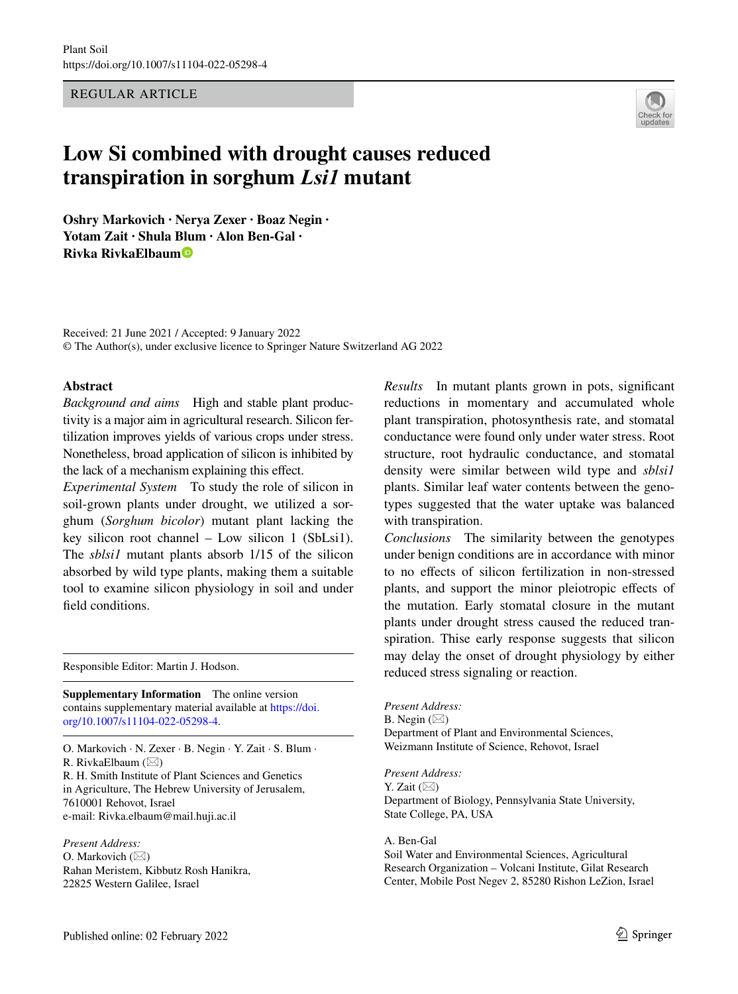REGULAR ARTICLE

# **Low Si combined with drought causes reduced transpiration in sorghum** *Lsi1* **mutant**

**Oshry Markovich · Nerya Zexer · Boaz Negin · Yotam Zait · Shula [Blum](http://orcid.org/0000-0003-4417-3811) · Alon Ben‑Gal · Rivka RivkaElbaum**

Received: 21 June 2021 / Accepted: 9 January 2022 © The Author(s), under exclusive licence to Springer Nature Switzerland AG 2022

#### **Abstract**

*Background and aims* High and stable plant productivity is a major aim in agricultural research. Silicon fertilization improves yields of various crops under stress. Nonetheless, broad application of silicon is inhibited by the lack of a mechanism explaining this efect.

*Experimental System* To study the role of silicon in soil-grown plants under drought, we utilized a sorghum (*Sorghum bicolor*) mutant plant lacking the key silicon root channel – Low silicon 1 (SbLsi1). The *sblsi1* mutant plants absorb 1/15 of the silicon absorbed by wild type plants, making them a suitable tool to examine silicon physiology in soil and under feld conditions.

Responsible Editor: Martin J. Hodson.

**Supplementary Information** The online version contains supplementary material available at [https://doi.](https://doi.org/10.1007/s11104-022-05298-4) [org/10.1007/s11104-022-05298-4.](https://doi.org/10.1007/s11104-022-05298-4)

O. Markovich · N. Zexer · B. Negin · Y. Zait · S. Blum · R. RivkaElbaum  $(\boxtimes)$ 

R. H. Smith Institute of Plant Sciences and Genetics in Agriculture, The Hebrew University of Jerusalem, 7610001 Rehovot, Israel e-mail: Rivka.elbaum@mail.huji.ac.il

*Present Address:* O. Markovich  $(\boxtimes)$ Rahan Meristem, Kibbutz Rosh Hanikra, 22825 Western Galilee, Israel

*Results* In mutant plants grown in pots, signifcant reductions in momentary and accumulated whole plant transpiration, photosynthesis rate, and stomatal conductance were found only under water stress. Root structure, root hydraulic conductance, and stomatal density were similar between wild type and *sblsi1* plants. Similar leaf water contents between the genotypes suggested that the water uptake was balanced with transpiration.

*Conclusions* The similarity between the genotypes under benign conditions are in accordance with minor to no efects of silicon fertilization in non-stressed plants, and support the minor pleiotropic efects of the mutation. Early stomatal closure in the mutant plants under drought stress caused the reduced transpiration. Thise early response suggests that silicon may delay the onset of drought physiology by either reduced stress signaling or reaction.

*Present Address:* B. Negin  $(\boxtimes)$ Department of Plant and Environmental Sciences, Weizmann Institute of Science, Rehovot, Israel

*Present Address:* Y. Zait  $(\boxtimes)$ Department of Biology, Pennsylvania State University, State College, PA, USA

A. Ben-Gal Soil Water and Environmental Sciences, Agricultural Research Organization – Volcani Institute, Gilat Research Center, Mobile Post Negev 2, 85280 Rishon LeZion, Israel

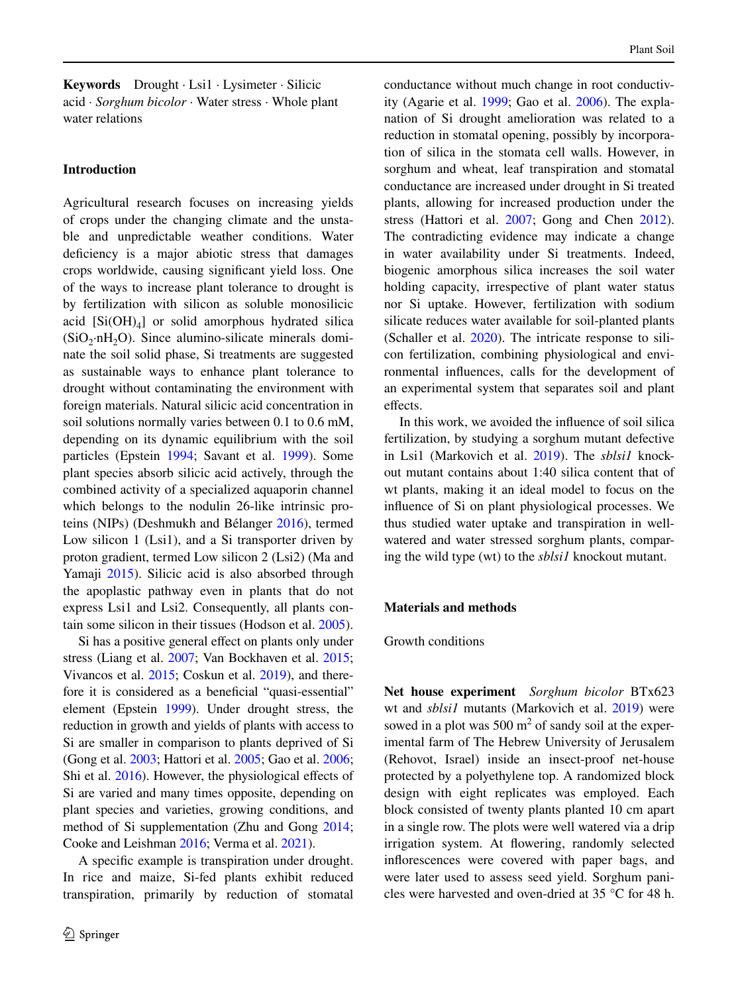**Keywords** Drought · Lsi1 · Lysimeter · Silicic acid · *Sorghum bicolor* · Water stress · Whole plant water relations

## **Introduction**

Agricultural research focuses on increasing yields of crops under the changing climate and the unstable and unpredictable weather conditions. Water defciency is a major abiotic stress that damages crops worldwide, causing signifcant yield loss. One of the ways to increase plant tolerance to drought is by fertilization with silicon as soluble monosilicic acid  $[Si(OH)<sub>4</sub>]$  or solid amorphous hydrated silica  $(SiO<sub>2</sub>·nH<sub>2</sub>O)$ . Since alumino-silicate minerals dominate the soil solid phase, Si treatments are suggested as sustainable ways to enhance plant tolerance to drought without contaminating the environment with foreign materials. Natural silicic acid concentration in soil solutions normally varies between 0.1 to 0.6 mM, depending on its dynamic equilibrium with the soil particles (Epstein [1994;](#page-10-0) Savant et al. [1999\)](#page-10-1). Some plant species absorb silicic acid actively, through the combined activity of a specialized aquaporin channel which belongs to the nodulin 26-like intrinsic proteins (NIPs) (Deshmukh and Bélanger [2016](#page-10-2)), termed Low silicon 1 (Lsi1), and a Si transporter driven by proton gradient, termed Low silicon 2 (Lsi2) (Ma and Yamaji [2015](#page-10-3)). Silicic acid is also absorbed through the apoplastic pathway even in plants that do not express Lsi1 and Lsi2. Consequently, all plants contain some silicon in their tissues (Hodson et al. [2005](#page-10-4)).

Si has a positive general efect on plants only under stress (Liang et al. [2007](#page-10-5); Van Bockhaven et al. [2015](#page-10-6); Vivancos et al. [2015;](#page-10-7) Coskun et al. [2019\)](#page-10-8), and therefore it is considered as a beneficial "quasi-essential" element (Epstein [1999](#page-10-9)). Under drought stress, the reduction in growth and yields of plants with access to Si are smaller in comparison to plants deprived of Si (Gong et al. [2003](#page-10-10); Hattori et al. [2005;](#page-10-11) Gao et al. [2006](#page-10-12); Shi et al. [2016](#page-10-13)). However, the physiological effects of Si are varied and many times opposite, depending on plant species and varieties, growing conditions, and method of Si supplementation (Zhu and Gong [2014](#page-10-14); Cooke and Leishman [2016;](#page-10-15) Verma et al. [2021](#page-10-16)).

A specifc example is transpiration under drought. In rice and maize, Si-fed plants exhibit reduced transpiration, primarily by reduction of stomatal conductance without much change in root conductivity (Agarie et al. [1999;](#page-10-17) Gao et al. [2006](#page-10-12)). The explanation of Si drought amelioration was related to a reduction in stomatal opening, possibly by incorporation of silica in the stomata cell walls. However, in sorghum and wheat, leaf transpiration and stomatal conductance are increased under drought in Si treated plants, allowing for increased production under the stress (Hattori et al. [2007;](#page-10-18) Gong and Chen [2012](#page-10-19)). The contradicting evidence may indicate a change in water availability under Si treatments. Indeed, biogenic amorphous silica increases the soil water holding capacity, irrespective of plant water status nor Si uptake. However, fertilization with sodium silicate reduces water available for soil-planted plants (Schaller et al. [2020\)](#page-10-20). The intricate response to silicon fertilization, combining physiological and environmental infuences, calls for the development of an experimental system that separates soil and plant effects.

In this work, we avoided the infuence of soil silica fertilization, by studying a sorghum mutant defective in Lsi1 (Markovich et al. [2019\)](#page-10-21). The *sblsi1* knockout mutant contains about 1:40 silica content that of wt plants, making it an ideal model to focus on the infuence of Si on plant physiological processes. We thus studied water uptake and transpiration in wellwatered and water stressed sorghum plants, comparing the wild type (wt) to the *sblsi1* knockout mutant.

## **Materials and methods**

## Growth conditions

**Net house experiment** *Sorghum bicolor* BTx623 wt and *sblsi1* mutants (Markovich et al. [2019](#page-10-21)) were sowed in a plot was  $500 \text{ m}^2$  of sandy soil at the experimental farm of The Hebrew University of Jerusalem (Rehovot, Israel) inside an insect-proof net-house protected by a polyethylene top. A randomized block design with eight replicates was employed. Each block consisted of twenty plants planted 10 cm apart in a single row. The plots were well watered via a drip irrigation system. At fowering, randomly selected inforescences were covered with paper bags, and were later used to assess seed yield. Sorghum panicles were harvested and oven-dried at 35 °C for 48 h.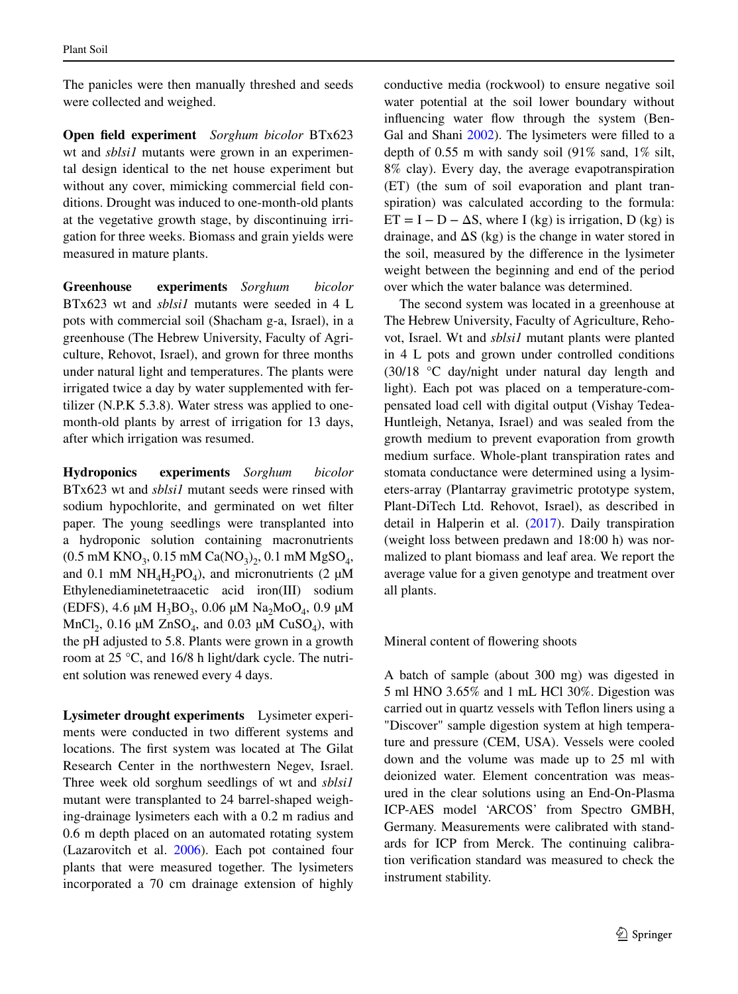The panicles were then manually threshed and seeds were collected and weighed.

**Open feld experiment** *Sorghum bicolor* BTx623 wt and *sblsi1* mutants were grown in an experimental design identical to the net house experiment but without any cover, mimicking commercial feld conditions. Drought was induced to one-month-old plants at the vegetative growth stage, by discontinuing irrigation for three weeks. Biomass and grain yields were measured in mature plants.

**Greenhouse experiments** *Sorghum bicolor* BTx623 wt and *sblsi1* mutants were seeded in 4 L pots with commercial soil (Shacham g-a, Israel), in a greenhouse (The Hebrew University, Faculty of Agriculture, Rehovot, Israel), and grown for three months under natural light and temperatures. The plants were irrigated twice a day by water supplemented with fertilizer (N.P.K 5.3.8). Water stress was applied to onemonth-old plants by arrest of irrigation for 13 days, after which irrigation was resumed.

**Hydroponics experiments** *Sorghum bicolor* BTx623 wt and *sblsi1* mutant seeds were rinsed with sodium hypochlorite, and germinated on wet flter paper. The young seedlings were transplanted into a hydroponic solution containing macronutrients  $(0.5 \text{ mM KNO}_3, 0.15 \text{ mM Ca}(\text{NO}_3), 0.1 \text{ mM MgSO}_4,$ and 0.1 mM  $NH<sub>4</sub>H<sub>2</sub>PO<sub>4</sub>$ ), and micronutrients (2  $\mu$ M Ethylenediaminetetraacetic acid iron(III) sodium (EDFS), 4.6  $\mu$ M H<sub>3</sub>BO<sub>3</sub>, 0.06  $\mu$ M Na<sub>2</sub>MoO<sub>4</sub>, 0.9  $\mu$ M MnCl<sub>2</sub>, 0.16  $\mu$ M ZnSO<sub>4</sub>, and 0.03  $\mu$ M CuSO<sub>4</sub>), with the pH adjusted to 5.8. Plants were grown in a growth room at 25 °C, and 16/8 h light/dark cycle. The nutrient solution was renewed every 4 days.

**Lysimeter drought experiments** Lysimeter experiments were conducted in two diferent systems and locations. The frst system was located at The Gilat Research Center in the northwestern Negev, Israel. Three week old sorghum seedlings of wt and *sblsi1* mutant were transplanted to 24 barrel-shaped weighing-drainage lysimeters each with a 0.2 m radius and 0.6 m depth placed on an automated rotating system (Lazarovitch et al. [2006\)](#page-10-22). Each pot contained four plants that were measured together. The lysimeters incorporated a 70 cm drainage extension of highly conductive media (rockwool) to ensure negative soil water potential at the soil lower boundary without influencing water flow through the system (Ben-Gal and Shani [2002\)](#page-10-23). The lysimeters were flled to a depth of 0.55 m with sandy soil (91% sand, 1% silt, 8% clay). Every day, the average evapotranspiration (ET) (the sum of soil evaporation and plant transpiration) was calculated according to the formula:  $ET = I - D - \Delta S$ , where I (kg) is irrigation, D (kg) is drainage, and  $\Delta S$  (kg) is the change in water stored in the soil, measured by the diference in the lysimeter weight between the beginning and end of the period over which the water balance was determined.

The second system was located in a greenhouse at The Hebrew University, Faculty of Agriculture, Rehovot, Israel. Wt and *sblsi1* mutant plants were planted in 4 L pots and grown under controlled conditions (30/18 °C day/night under natural day length and light). Each pot was placed on a temperature-compensated load cell with digital output (Vishay Tedea-Huntleigh, Netanya, Israel) and was sealed from the growth medium to prevent evaporation from growth medium surface. Whole-plant transpiration rates and stomata conductance were determined using a lysimeters-array (Plantarray gravimetric prototype system, Plant-DiTech Ltd. Rehovot, Israel), as described in detail in Halperin et al. ([2017\)](#page-10-24). Daily transpiration (weight loss between predawn and 18:00 h) was normalized to plant biomass and leaf area. We report the average value for a given genotype and treatment over all plants.

Mineral content of fowering shoots

A batch of sample (about 300 mg) was digested in 5 ml HNO 3.65% and 1 mL HCl 30%. Digestion was carried out in quartz vessels with Tefon liners using a "Discover" sample digestion system at high temperature and pressure (CEM, USA). Vessels were cooled down and the volume was made up to 25 ml with deionized water. Element concentration was measured in the clear solutions using an End-On-Plasma ICP-AES model 'ARCOS' from Spectro GMBH, Germany. Measurements were calibrated with standards for ICP from Merck. The continuing calibration verifcation standard was measured to check the instrument stability.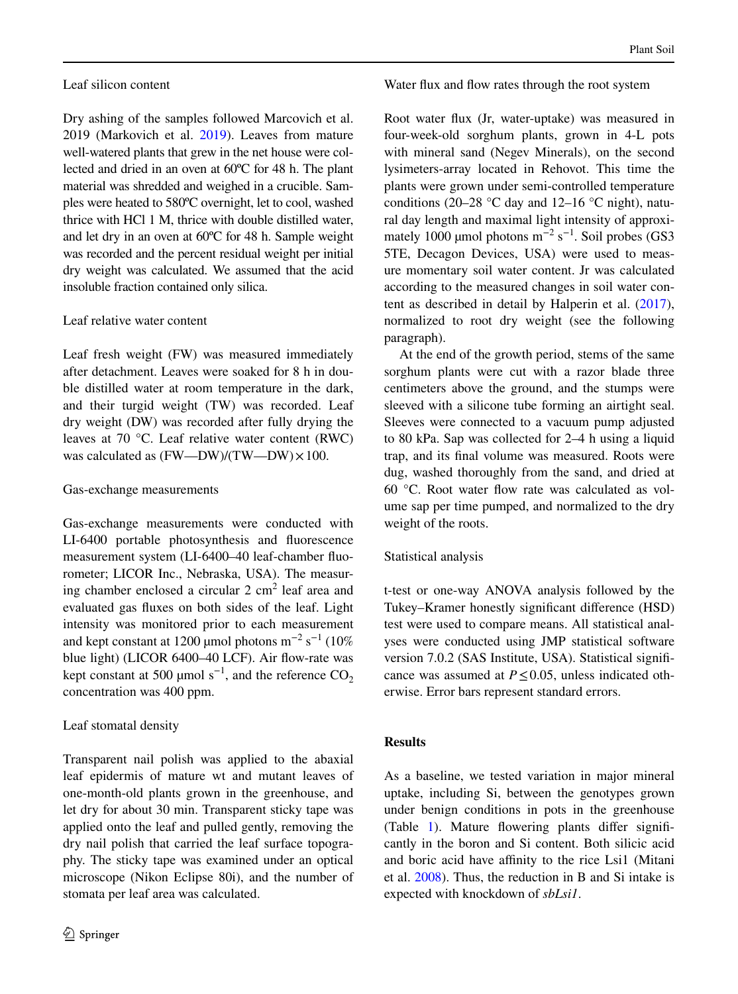# Leaf silicon content

Dry ashing of the samples followed Marcovich et al. 2019 (Markovich et al. [2019](#page-10-21)). Leaves from mature well-watered plants that grew in the net house were collected and dried in an oven at 60ºC for 48 h. The plant material was shredded and weighed in a crucible. Samples were heated to 580ºC overnight, let to cool, washed thrice with HCl 1 M, thrice with double distilled water, and let dry in an oven at 60ºC for 48 h. Sample weight was recorded and the percent residual weight per initial dry weight was calculated. We assumed that the acid insoluble fraction contained only silica.

# Leaf relative water content

Leaf fresh weight (FW) was measured immediately after detachment. Leaves were soaked for 8 h in double distilled water at room temperature in the dark, and their turgid weight (TW) was recorded. Leaf dry weight (DW) was recorded after fully drying the leaves at 70 °C. Leaf relative water content (RWC) was calculated as (FW—DW)/(TW—DW) $\times 100$ .

#### Gas-exchange measurements

Gas-exchange measurements were conducted with LI-6400 portable photosynthesis and fuorescence measurement system (LI-6400–40 leaf-chamber fuorometer; LICOR Inc., Nebraska, USA). The measuring chamber enclosed a circular  $2 \text{ cm}^2$  leaf area and evaluated gas fuxes on both sides of the leaf. Light intensity was monitored prior to each measurement and kept constant at 1200 µmol photons  $m^{-2}$  s<sup>-1</sup> (10%) blue light) (LICOR 6400-40 LCF). Air flow-rate was kept constant at 500 µmol  $s^{-1}$ , and the reference  $CO_2$ concentration was 400 ppm.

# Leaf stomatal density

Transparent nail polish was applied to the abaxial leaf epidermis of mature wt and mutant leaves of one-month-old plants grown in the greenhouse, and let dry for about 30 min. Transparent sticky tape was applied onto the leaf and pulled gently, removing the dry nail polish that carried the leaf surface topography. The sticky tape was examined under an optical microscope (Nikon Eclipse 80i), and the number of stomata per leaf area was calculated.

#### Water flux and flow rates through the root system

Root water fux (Jr, water-uptake) was measured in four-week-old sorghum plants, grown in 4-L pots with mineral sand (Negev Minerals), on the second lysimeters-array located in Rehovot. This time the plants were grown under semi-controlled temperature conditions (20–28 °C day and 12–16 °C night), natural day length and maximal light intensity of approximately 1000 µmol photons  $m^{-2}$  s<sup>-1</sup>. Soil probes (GS3 5TE, Decagon Devices, USA) were used to measure momentary soil water content. Jr was calculated according to the measured changes in soil water content as described in detail by Halperin et al. [\(2017](#page-10-24)), normalized to root dry weight (see the following paragraph).

At the end of the growth period, stems of the same sorghum plants were cut with a razor blade three centimeters above the ground, and the stumps were sleeved with a silicone tube forming an airtight seal. Sleeves were connected to a vacuum pump adjusted to 80 kPa. Sap was collected for 2–4 h using a liquid trap, and its fnal volume was measured. Roots were dug, washed thoroughly from the sand, and dried at 60 °C. Root water fow rate was calculated as volume sap per time pumped, and normalized to the dry weight of the roots.

# Statistical analysis

t-test or one-way ANOVA analysis followed by the Tukey–Kramer honestly signifcant diference (HSD) test were used to compare means. All statistical analyses were conducted using JMP statistical software version 7.0.2 (SAS Institute, USA). Statistical signifcance was assumed at  $P \le 0.05$ , unless indicated otherwise. Error bars represent standard errors.

#### **Results**

As a baseline, we tested variation in major mineral uptake, including Si, between the genotypes grown under benign conditions in pots in the greenhouse (Table [1\)](#page-4-0). Mature flowering plants differ significantly in the boron and Si content. Both silicic acid and boric acid have affinity to the rice Lsi1 (Mitani et al. [2008\)](#page-10-25). Thus, the reduction in B and Si intake is expected with knockdown of *sbLsi1*.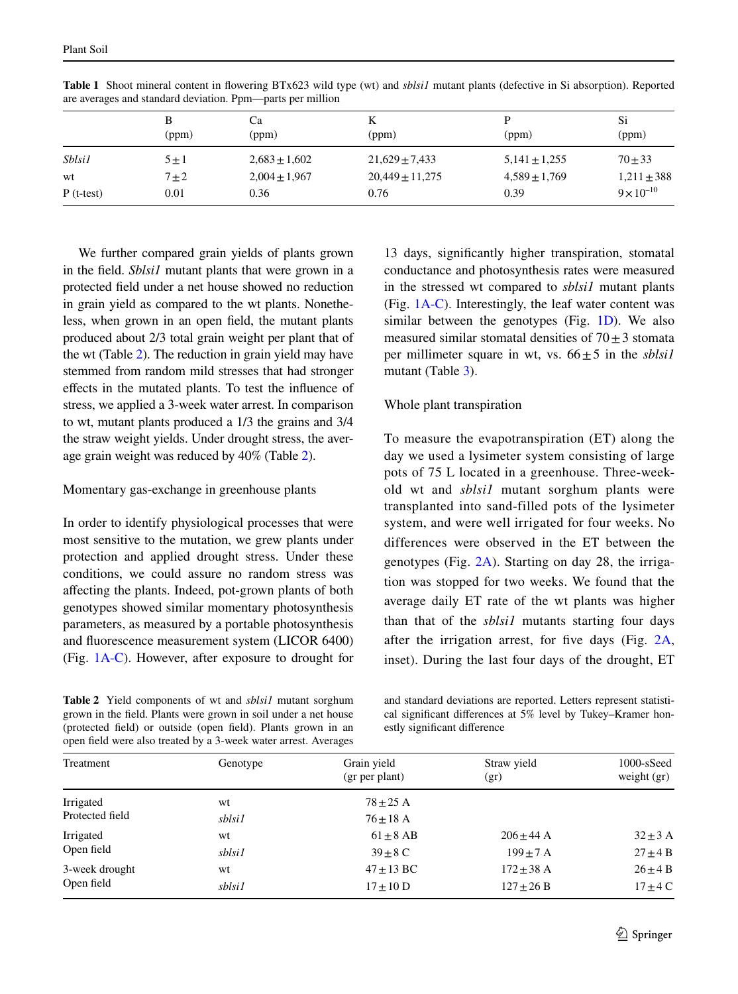|               | (ppm)     | Сa<br>(ppm)       | n<br>(ppm)          | (ppm)             | Si<br>(ppm)         |
|---------------|-----------|-------------------|---------------------|-------------------|---------------------|
| <i>Sblsi1</i> | $5 \pm 1$ | $2,683 \pm 1,602$ | $21,629 \pm 7,433$  | $5,141 \pm 1,255$ | $70 + 33$           |
| wt            | $7\pm2$   | $2,004 \pm 1,967$ | $20,449 \pm 11,275$ | $4,589 \pm 1,769$ | $1,211 \pm 388$     |
| $P$ (t-test)  | 0.01      | 0.36              | 0.76                | 0.39              | $9 \times 10^{-10}$ |

<span id="page-4-0"></span>**Table 1** Shoot mineral content in fowering BTx623 wild type (wt) and *sblsi1* mutant plants (defective in Si absorption). Reported are averages and standard deviation. Ppm—parts per million

We further compared grain yields of plants grown in the feld. *Sblsi1* mutant plants that were grown in a protected feld under a net house showed no reduction in grain yield as compared to the wt plants. Nonetheless, when grown in an open feld, the mutant plants produced about 2/3 total grain weight per plant that of the wt (Table [2\)](#page-4-1). The reduction in grain yield may have stemmed from random mild stresses that had stronger efects in the mutated plants. To test the infuence of stress, we applied a 3-week water arrest. In comparison to wt, mutant plants produced a 1/3 the grains and 3/4 the straw weight yields. Under drought stress, the average grain weight was reduced by 40% (Table [2\)](#page-4-1).

## Momentary gas-exchange in greenhouse plants

In order to identify physiological processes that were most sensitive to the mutation, we grew plants under protection and applied drought stress. Under these conditions, we could assure no random stress was afecting the plants. Indeed, pot-grown plants of both genotypes showed similar momentary photosynthesis parameters, as measured by a portable photosynthesis and fuorescence measurement system (LICOR 6400) (Fig. [1A-C\)](#page-5-0). However, after exposure to drought for

<span id="page-4-1"></span>**Table 2** Yield components of wt and *sblsi1* mutant sorghum grown in the feld. Plants were grown in soil under a net house (protected feld) or outside (open feld). Plants grown in an open feld were also treated by a 3-week water arrest. Averages

13 days, signifcantly higher transpiration, stomatal conductance and photosynthesis rates were measured in the stressed wt compared to *sblsi1* mutant plants (Fig. [1A-C](#page-5-0)). Interestingly, the leaf water content was similar between the genotypes (Fig. [1D\)](#page-5-0). We also measured similar stomatal densities of  $70 \pm 3$  stomata per millimeter square in wt, vs.  $66 \pm 5$  in the *sblsil* mutant (Table [3](#page-5-1)).

# Whole plant transpiration

To measure the evapotranspiration (ET) along the day we used a lysimeter system consisting of large pots of 75 L located in a greenhouse. Three-weekold wt and *sblsi1* mutant sorghum plants were transplanted into sand-filled pots of the lysimeter system, and were well irrigated for four weeks. No differences were observed in the ET between the genotypes (Fig. [2A](#page-6-0)). Starting on day 28, the irrigation was stopped for two weeks. We found that the average daily ET rate of the wt plants was higher than that of the *sblsi1* mutants starting four days after the irrigation arrest, for fve days (Fig. [2A,](#page-6-0) inset). During the last four days of the drought, ET

and standard deviations are reported. Letters represent statistical signifcant diferences at 5% level by Tukey–Kramer honestly signifcant diference

| Treatment       | Genotype | Grain yield<br>(gr per plant) | Straw yield<br>(gr) | $1000$ -sSeed<br>weight $(gr)$ |
|-----------------|----------|-------------------------------|---------------------|--------------------------------|
| Irrigated       | wt       | $78 + 25$ A                   |                     |                                |
| Protected field | sblsi1   | $76 + 18$ A                   |                     |                                |
| Irrigated       | wt       | $61 \pm 8$ AB                 | $206 \pm 44$ A      | $32 \pm 3$ A                   |
| Open field      | sblsi1   | $39 \pm 8$ C                  | $199 + 7$ A         | $27 \pm 4$ B                   |
| 3-week drought  | wt       | $47 + 13$ BC                  | $172 \pm 38$ A      | $26 \pm 4$ B                   |
| Open field      | sblsi1   | $17 \pm 10$ D                 | $127 \pm 26 B$      | $17 \pm 4$ C                   |
|                 |          |                               |                     |                                |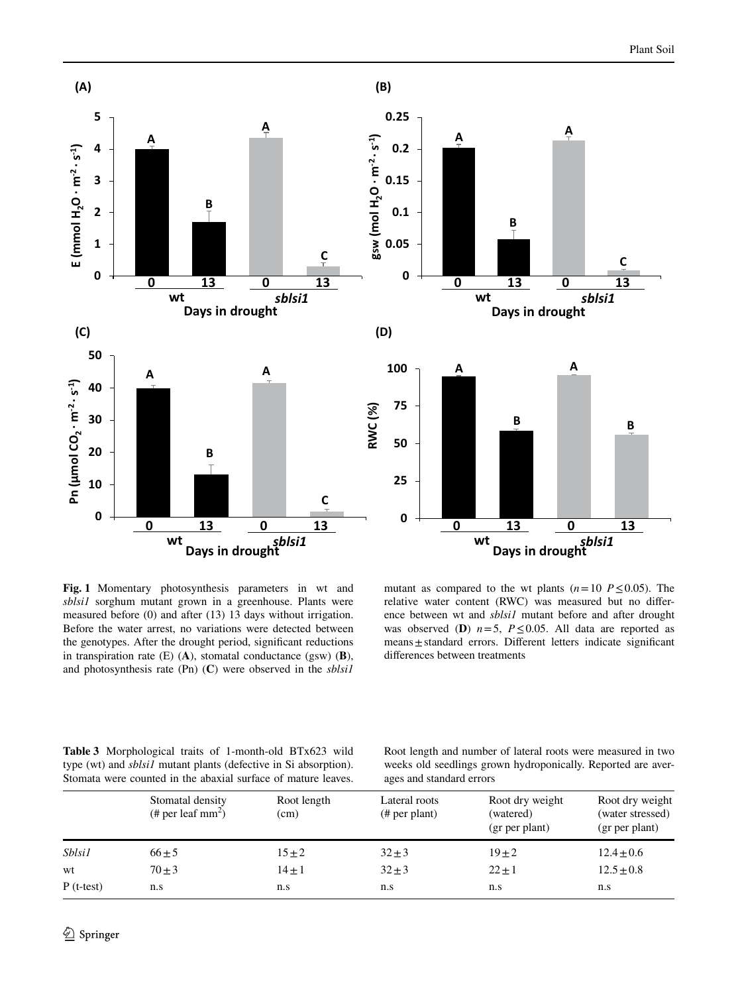

<span id="page-5-0"></span>**Fig. 1** Momentary photosynthesis parameters in wt and *sblsi1* sorghum mutant grown in a greenhouse. Plants were measured before (0) and after (13) 13 days without irrigation. Before the water arrest, no variations were detected between the genotypes. After the drought period, signifcant reductions in transpiration rate (E) (**A**), stomatal conductance (gsw) (**B**), and photosynthesis rate (Pn) (**C**) were observed in the *sblsi1*

mutant as compared to the wt plants ( $n=10$  *P*  $\leq$  0.05). The relative water content (RWC) was measured but no diference between wt and *sblsi1* mutant before and after drought was observed (**D**)  $n=5$ ,  $P \le 0.05$ . All data are reported as means±standard errors. Diferent letters indicate signifcant diferences between treatments

<span id="page-5-1"></span>

|  |  | <b>Table 3</b> Morphological traits of 1-month-old BTx623 wild          |  |
|--|--|-------------------------------------------------------------------------|--|
|  |  | type (wt) and <i>sblsil</i> mutant plants (defective in Si absorption). |  |
|  |  | Stomata were counted in the abaxial surface of mature leaves.           |  |

Root length and number of lateral roots were measured in two weeks old seedlings grown hydroponically. Reported are averages and standard errors

|               | Stomatal density<br>(# per leaf $mm2$ ) | Root length<br>(cm) | Lateral roots<br># per plant) | Root dry weight<br>(watered)<br>(gr per plant) | Root dry weight<br>(water stressed)<br>(gr per plant) |  |
|---------------|-----------------------------------------|---------------------|-------------------------------|------------------------------------------------|-------------------------------------------------------|--|
| <i>Sblsi1</i> | $66 \pm 5$                              | $15 \pm 2$          | $32 + 3$                      | $19 + 2$                                       | $12.4 \pm 0.6$                                        |  |
| wt            | $70 \pm 3$                              | $14 \pm 1$          | $32 \pm 3$                    | $22 \pm 1$                                     | $12.5 \pm 0.8$                                        |  |
| $P$ (t-test)  | n.s                                     | n.s                 | n.s                           | n.s                                            | n.s                                                   |  |
|               |                                         |                     |                               |                                                |                                                       |  |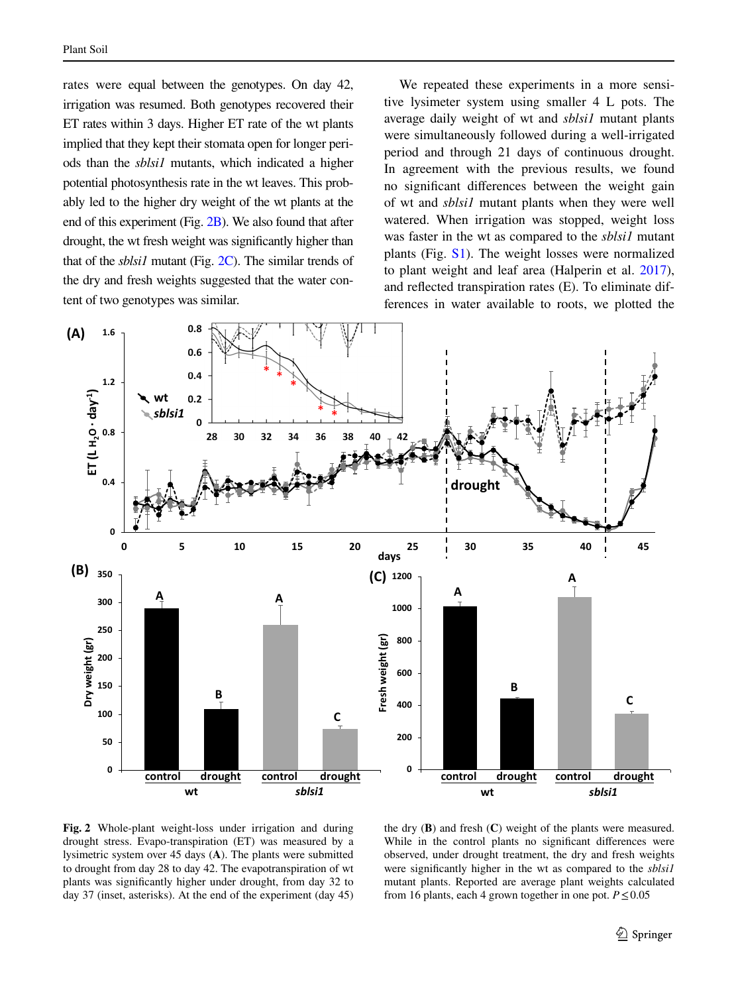rates were equal between the genotypes. On day 42, irrigation was resumed. Both genotypes recovered their ET rates within 3 days. Higher ET rate of the wt plants implied that they kept their stomata open for longer periods than the *sblsi1* mutants, which indicated a higher potential photosynthesis rate in the wt leaves. This probably led to the higher dry weight of the wt plants at the end of this experiment (Fig. [2B](#page-6-0)). We also found that after drought, the wt fresh weight was signifcantly higher than that of the *sblsi1* mutant (Fig. [2C\)](#page-6-0). The similar trends of the dry and fresh weights suggested that the water content of two genotypes was similar.

We repeated these experiments in a more sensitive lysimeter system using smaller 4 L pots. The average daily weight of wt and *sblsi1* mutant plants were simultaneously followed during a well-irrigated period and through 21 days of continuous drought. In agreement with the previous results, we found no signifcant diferences between the weight gain of wt and *sblsi1* mutant plants when they were well watered. When irrigation was stopped, weight loss was faster in the wt as compared to the *sblsi1* mutant plants (Fig. S1). The weight losses were normalized to plant weight and leaf area (Halperin et al. [2017](#page-10-24)), and refected transpiration rates (E). To eliminate differences in water available to roots, we plotted the



<span id="page-6-0"></span>**Fig. 2** Whole-plant weight-loss under irrigation and during drought stress. Evapo-transpiration (ET) was measured by a lysimetric system over 45 days (**A**). The plants were submitted to drought from day 28 to day 42. The evapotranspiration of wt plants was signifcantly higher under drought, from day 32 to day 37 (inset, asterisks). At the end of the experiment (day 45)

the dry (**B**) and fresh (**C**) weight of the plants were measured. While in the control plants no significant differences were observed, under drought treatment, the dry and fresh weights were signifcantly higher in the wt as compared to the *sblsi1* mutant plants. Reported are average plant weights calculated from 16 plants, each 4 grown together in one pot.  $P \le 0.05$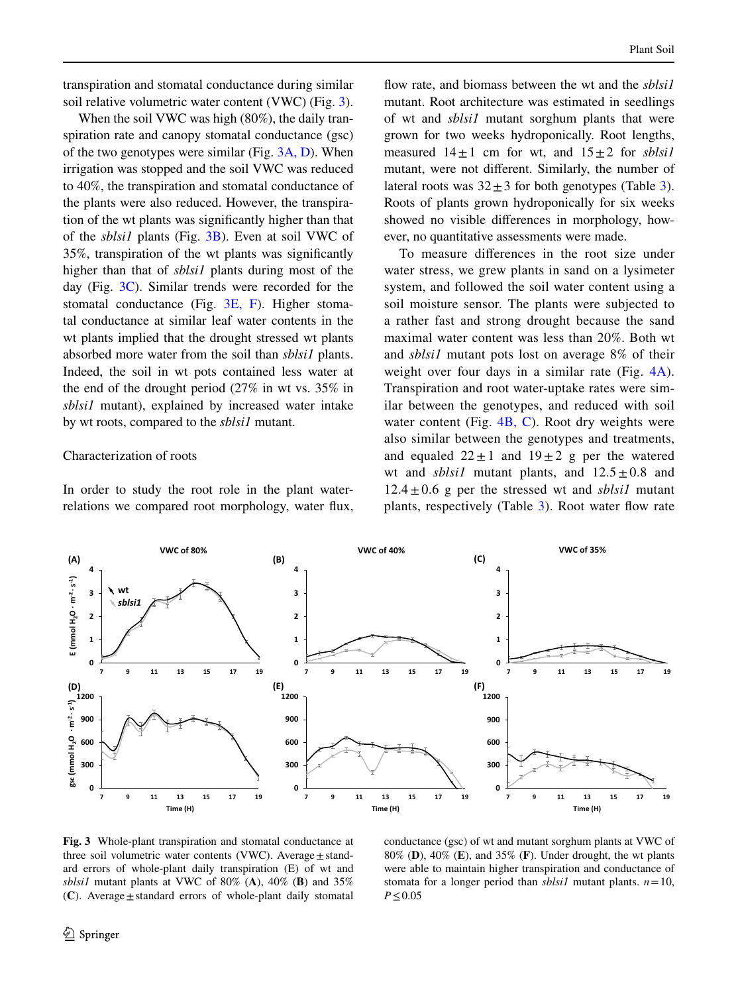transpiration and stomatal conductance during similar soil relative volumetric water content (VWC) (Fig. [3](#page-7-0)).

When the soil VWC was high (80%), the daily transpiration rate and canopy stomatal conductance (gsc) of the two genotypes were similar (Fig. [3A, D](#page-7-0)). When irrigation was stopped and the soil VWC was reduced to 40%, the transpiration and stomatal conductance of the plants were also reduced. However, the transpiration of the wt plants was signifcantly higher than that of the *sblsi1* plants (Fig. [3B](#page-7-0)). Even at soil VWC of 35%, transpiration of the wt plants was signifcantly higher than that of *sblsi1* plants during most of the day (Fig.  $3C$ ). Similar trends were recorded for the stomatal conductance (Fig. [3E, F\)](#page-7-0). Higher stomatal conductance at similar leaf water contents in the wt plants implied that the drought stressed wt plants absorbed more water from the soil than *sblsi1* plants. Indeed, the soil in wt pots contained less water at the end of the drought period (27% in wt vs. 35% in *sblsi1* mutant), explained by increased water intake by wt roots, compared to the *sblsi1* mutant.

## Characterization of roots

In order to study the root role in the plant waterrelations we compared root morphology, water fux, flow rate, and biomass between the wt and the *sblsil* mutant. Root architecture was estimated in seedlings of wt and *sblsi1* mutant sorghum plants that were grown for two weeks hydroponically. Root lengths, measured  $14 \pm 1$  cm for wt, and  $15 \pm 2$  for *sblsi1* mutant, were not diferent. Similarly, the number of lateral roots was  $32 \pm 3$  $32 \pm 3$  for both genotypes (Table 3). Roots of plants grown hydroponically for six weeks showed no visible diferences in morphology, however, no quantitative assessments were made.

To measure diferences in the root size under water stress, we grew plants in sand on a lysimeter system, and followed the soil water content using a soil moisture sensor. The plants were subjected to a rather fast and strong drought because the sand maximal water content was less than 20%. Both wt and *sblsi1* mutant pots lost on average 8% of their weight over four days in a similar rate (Fig. [4A](#page-8-0)). Transpiration and root water-uptake rates were similar between the genotypes, and reduced with soil water content (Fig. [4B, C](#page-8-0)). Root dry weights were also similar between the genotypes and treatments, and equaled  $22 \pm 1$  and  $19 \pm 2$  g per the watered wt and *sblsil* mutant plants, and  $12.5 \pm 0.8$  and  $12.4 \pm 0.6$  g per the stressed wt and *sblsil* mutant plants, respectively (Table [3](#page-5-1)). Root water fow rate



<span id="page-7-0"></span>**Fig. 3** Whole-plant transpiration and stomatal conductance at three soil volumetric water contents (VWC). Average  $\pm$  standard errors of whole-plant daily transpiration (E) of wt and *sblsi1* mutant plants at VWC of 80% (**A**), 40% (**B**) and 35% (**C**). Average±standard errors of whole-plant daily stomatal

conductance (gsc) of wt and mutant sorghum plants at VWC of 80% (**D**), 40% (**E**), and 35% (**F**). Under drought, the wt plants were able to maintain higher transpiration and conductance of stomata for a longer period than *sblsi1* mutant plants. *n*=10, *P*≤0.05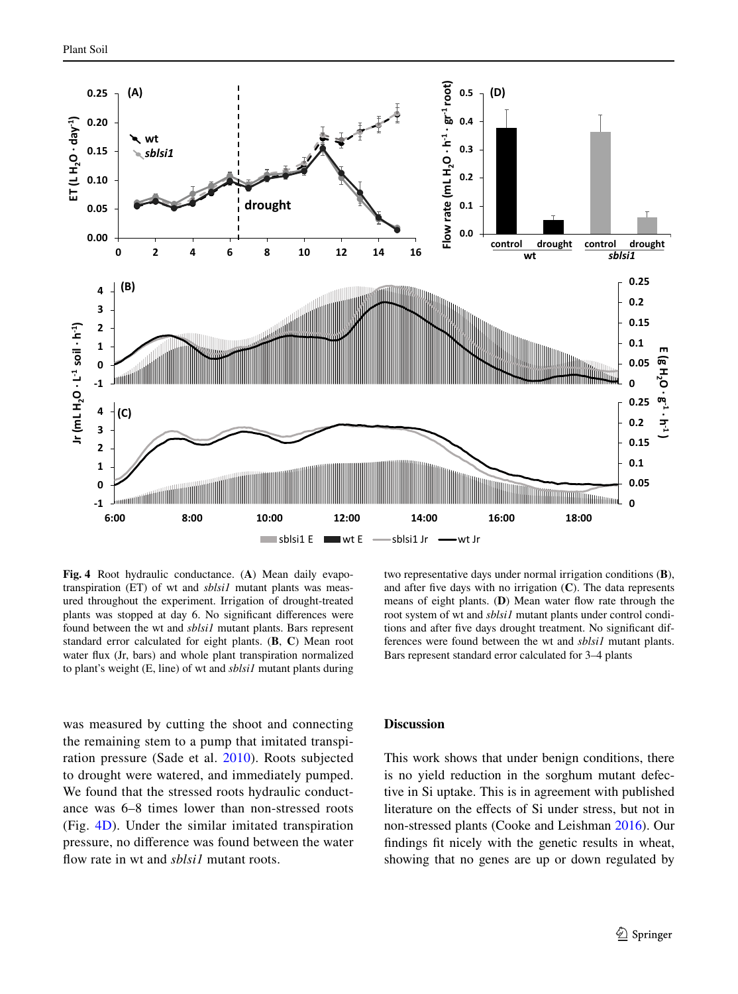

<span id="page-8-0"></span>**Fig. 4** Root hydraulic conductance. (**A**) Mean daily evapotranspiration (ET) of wt and *sblsi1* mutant plants was measured throughout the experiment. Irrigation of drought-treated plants was stopped at day 6. No signifcant diferences were found between the wt and *sblsi1* mutant plants. Bars represent standard error calculated for eight plants. (**B**, **C**) Mean root water fux (Jr, bars) and whole plant transpiration normalized to plant's weight (E, line) of wt and *sblsi1* mutant plants during

was measured by cutting the shoot and connecting the remaining stem to a pump that imitated transpiration pressure (Sade et al. [2010\)](#page-10-26). Roots subjected to drought were watered, and immediately pumped. We found that the stressed roots hydraulic conductance was 6–8 times lower than non-stressed roots (Fig. [4D](#page-8-0)). Under the similar imitated transpiration pressure, no diference was found between the water flow rate in wt and *sblsil* mutant roots.

two representative days under normal irrigation conditions (**B**), and after fve days with no irrigation (**C**). The data represents means of eight plants. (**D**) Mean water fow rate through the root system of wt and *sblsi1* mutant plants under control conditions and after fve days drought treatment. No signifcant differences were found between the wt and *sblsi1* mutant plants. Bars represent standard error calculated for 3–4 plants

#### **Discussion**

This work shows that under benign conditions, there is no yield reduction in the sorghum mutant defective in Si uptake. This is in agreement with published literature on the efects of Si under stress, but not in non-stressed plants (Cooke and Leishman [2016](#page-10-15)). Our fndings ft nicely with the genetic results in wheat, showing that no genes are up or down regulated by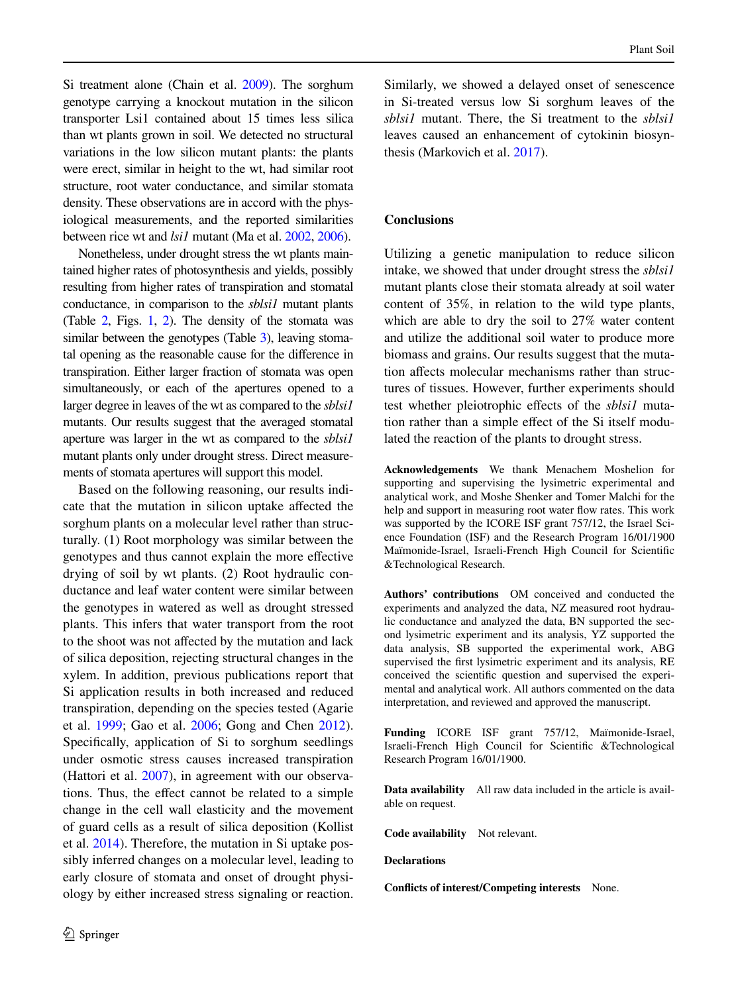Si treatment alone (Chain et al. [2009](#page-10-27)). The sorghum genotype carrying a knockout mutation in the silicon transporter Lsi1 contained about 15 times less silica than wt plants grown in soil. We detected no structural variations in the low silicon mutant plants: the plants were erect, similar in height to the wt, had similar root structure, root water conductance, and similar stomata density. These observations are in accord with the physiological measurements, and the reported similarities between rice wt and *lsi1* mutant (Ma et al. [2002,](#page-10-28) [2006\)](#page-10-29).

Nonetheless, under drought stress the wt plants maintained higher rates of photosynthesis and yields, possibly resulting from higher rates of transpiration and stomatal conductance, in comparison to the *sblsi1* mutant plants (Table  $2$ , Figs. [1](#page-5-0), 2). The density of the stomata was similar between the genotypes (Table [3\)](#page-5-1), leaving stomatal opening as the reasonable cause for the diference in transpiration. Either larger fraction of stomata was open simultaneously, or each of the apertures opened to a larger degree in leaves of the wt as compared to the *sblsi1* mutants. Our results suggest that the averaged stomatal aperture was larger in the wt as compared to the *sblsi1* mutant plants only under drought stress. Direct measurements of stomata apertures will support this model.

Based on the following reasoning, our results indicate that the mutation in silicon uptake afected the sorghum plants on a molecular level rather than structurally. (1) Root morphology was similar between the genotypes and thus cannot explain the more efective drying of soil by wt plants. (2) Root hydraulic conductance and leaf water content were similar between the genotypes in watered as well as drought stressed plants. This infers that water transport from the root to the shoot was not afected by the mutation and lack of silica deposition, rejecting structural changes in the xylem. In addition, previous publications report that Si application results in both increased and reduced transpiration, depending on the species tested (Agarie et al. [1999;](#page-10-17) Gao et al. [2006](#page-10-12); Gong and Chen [2012](#page-10-19)). Specifcally, application of Si to sorghum seedlings under osmotic stress causes increased transpiration (Hattori et al. [2007](#page-10-18)), in agreement with our observations. Thus, the efect cannot be related to a simple change in the cell wall elasticity and the movement of guard cells as a result of silica deposition (Kollist et al. [2014\)](#page-10-30). Therefore, the mutation in Si uptake possibly inferred changes on a molecular level, leading to early closure of stomata and onset of drought physiology by either increased stress signaling or reaction.

Similarly, we showed a delayed onset of senescence in Si-treated versus low Si sorghum leaves of the *sblsi1* mutant. There, the Si treatment to the *sblsi1* leaves caused an enhancement of cytokinin biosynthesis (Markovich et al. [2017\)](#page-10-31).

# **Conclusions**

Utilizing a genetic manipulation to reduce silicon intake, we showed that under drought stress the *sblsi1* mutant plants close their stomata already at soil water content of 35%, in relation to the wild type plants, which are able to dry the soil to 27% water content and utilize the additional soil water to produce more biomass and grains. Our results suggest that the mutation afects molecular mechanisms rather than structures of tissues. However, further experiments should test whether pleiotrophic efects of the *sblsi1* mutation rather than a simple efect of the Si itself modulated the reaction of the plants to drought stress.

**Acknowledgements** We thank Menachem Moshelion for supporting and supervising the lysimetric experimental and analytical work, and Moshe Shenker and Tomer Malchi for the help and support in measuring root water fow rates. This work was supported by the ICORE ISF grant 757/12, the Israel Science Foundation (ISF) and the Research Program 16/01/1900 Maïmonide-Israel, Israeli-French High Council for Scientifc &Technological Research.

**Authors' contributions** OM conceived and conducted the experiments and analyzed the data, NZ measured root hydraulic conductance and analyzed the data, BN supported the second lysimetric experiment and its analysis, YZ supported the data analysis, SB supported the experimental work, ABG supervised the frst lysimetric experiment and its analysis, RE conceived the scientifc question and supervised the experimental and analytical work. All authors commented on the data interpretation, and reviewed and approved the manuscript.

**Funding** ICORE ISF grant 757/12, Maïmonide-Israel, Israeli-French High Council for Scientifc &Technological Research Program 16/01/1900.

**Data availability** All raw data included in the article is available on request.

**Code availability** Not relevant.

**Declarations**

**Conficts of interest/Competing interests** None.